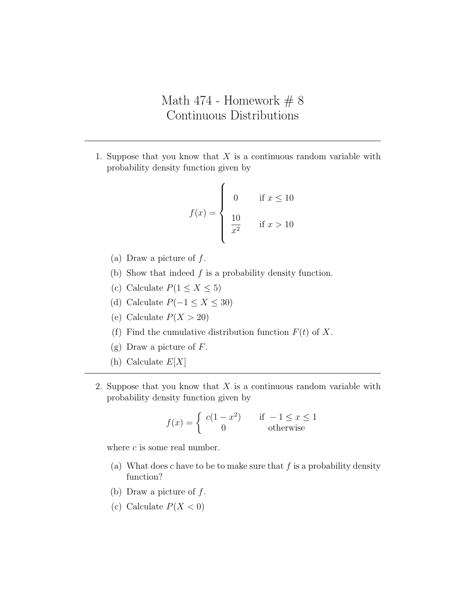## Math 474 - Homework  $# 8$ Continuous Distributions

1. Suppose that you know that  $X$  is a continuous random variable with probability density function given by

$$
f(x) = \begin{cases} 0 & \text{if } x \le 10\\ \frac{10}{x^2} & \text{if } x > 10 \end{cases}
$$

- (a) Draw a picture of  $f$ .
- (b) Show that indeed  $f$  is a probability density function.
- (c) Calculate  $P(1 \le X \le 5)$
- (d) Calculate  $P(-1 \le X \le 30)$
- (e) Calculate  $P(X > 20)$
- (f) Find the cumulative distribution function  $F(t)$  of X.
- (g) Draw a picture of  $F$ .
- (h) Calculate  $E[X]$
- 2. Suppose that you know that  $X$  is a continuous random variable with probability density function given by

$$
f(x) = \begin{cases} c(1 - x^2) & \text{if } -1 \le x \le 1\\ 0 & \text{otherwise} \end{cases}
$$

where  $c$  is some real number.

- (a) What does c have to be to make sure that f is a probability density function?
- (b) Draw a picture of  $f$ .
- (c) Calculate  $P(X < 0)$